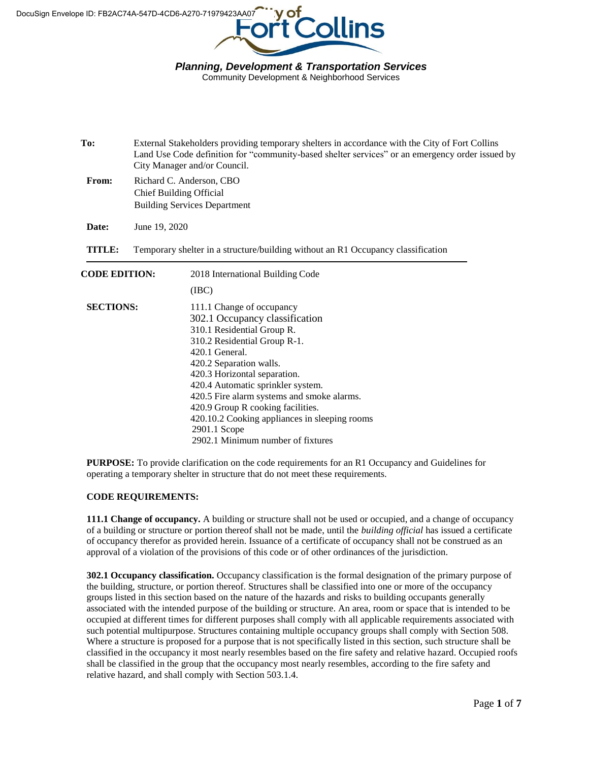

Community Development & Neighborhood Services

| To:                  | External Stakeholders providing temporary shelters in accordance with the City of Fort Collins<br>Land Use Code definition for "community-based shelter services" or an emergency order issued by<br>City Manager and/or Council.<br>Richard C. Anderson, CBO<br><b>Chief Building Official</b><br><b>Building Services Department</b> |                                                                                                                                                                                                                                                                                                                                                                                                                                      |  |  |  |
|----------------------|----------------------------------------------------------------------------------------------------------------------------------------------------------------------------------------------------------------------------------------------------------------------------------------------------------------------------------------|--------------------------------------------------------------------------------------------------------------------------------------------------------------------------------------------------------------------------------------------------------------------------------------------------------------------------------------------------------------------------------------------------------------------------------------|--|--|--|
| From:                |                                                                                                                                                                                                                                                                                                                                        |                                                                                                                                                                                                                                                                                                                                                                                                                                      |  |  |  |
| Date:                | June 19, 2020                                                                                                                                                                                                                                                                                                                          |                                                                                                                                                                                                                                                                                                                                                                                                                                      |  |  |  |
| TITLE:               | Temporary shelter in a structure/building without an R1 Occupancy classification                                                                                                                                                                                                                                                       |                                                                                                                                                                                                                                                                                                                                                                                                                                      |  |  |  |
| <b>CODE EDITION:</b> |                                                                                                                                                                                                                                                                                                                                        | 2018 International Building Code<br>(IBC)                                                                                                                                                                                                                                                                                                                                                                                            |  |  |  |
| <b>SECTIONS:</b>     |                                                                                                                                                                                                                                                                                                                                        | 111.1 Change of occupancy<br>302.1 Occupancy classification<br>310.1 Residential Group R.<br>310.2 Residential Group R-1.<br>420.1 General.<br>420.2 Separation walls.<br>420.3 Horizontal separation.<br>420.4 Automatic sprinkler system.<br>420.5 Fire alarm systems and smoke alarms.<br>420.9 Group R cooking facilities.<br>420.10.2 Cooking appliances in sleeping rooms<br>2901.1 Scope<br>2902.1 Minimum number of fixtures |  |  |  |

**PURPOSE:** To provide clarification on the code requirements for an R1 Occupancy and Guidelines for operating a temporary shelter in structure that do not meet these requirements.

#### **CODE REQUIREMENTS:**

**111.1 Change of occupancy.** A building or structure shall not be used or occupied, and a change of occupancy of a building or structure or portion thereof shall not be made, until the *building official* has issued a certificate of occupancy therefor as provided herein. Issuance of a certificate of occupancy shall not be construed as an approval of a violation of the provisions of this code or of other ordinances of the jurisdiction.

**302.1 Occupancy classification.** Occupancy classification is the formal designation of the primary purpose of the building, structure, or portion thereof. Structures shall be classified into one or more of the occupancy groups listed in this section based on the nature of the hazards and risks to building occupants generally associated with the intended purpose of the building or structure. An area, room or space that is intended to be occupied at different times for different purposes shall comply with all applicable requirements associated with such potential multipurpose. Structures containing multiple occupancy groups shall comply with Section 508. Where a structure is proposed for a purpose that is not specifically listed in this section, such structure shall be classified in the occupancy it most nearly resembles based on the fire safety and relative hazard. Occupied roofs shall be classified in the group that the occupancy most nearly resembles, according to the fire safety and relative hazard, and shall comply with Section 503.1.4.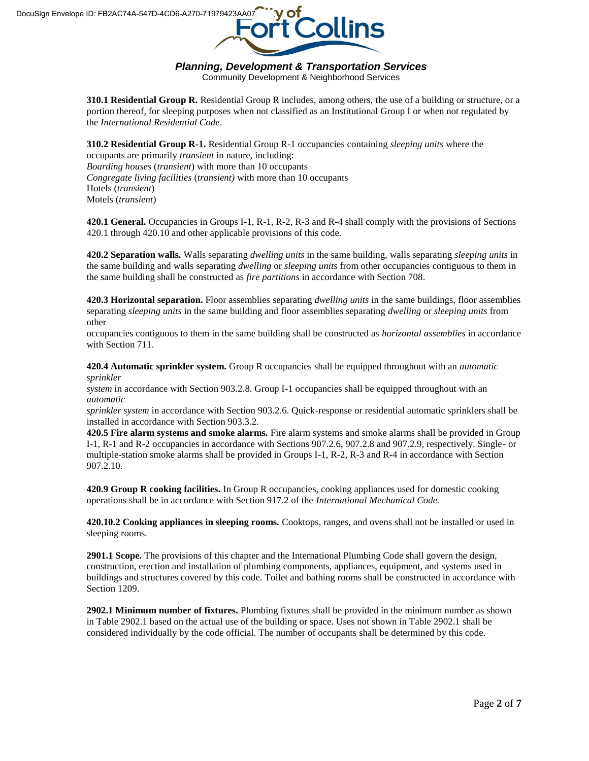

Community Development & Neighborhood Services

**310.1 Residential Group R.** Residential Group R includes, among others, the use of a building or structure, or a portion thereof, for sleeping purposes when not classified as an Institutional Group I or when not regulated by the *International Residential Code*.

**310.2 Residential Group R-1.** Residential Group R-1 occupancies containing *sleeping units* where the occupants are primarily *transient* in nature, including: *Boarding houses* (*transient*) with more than 10 occupants *Congregate living facilities* (*transient)* with more than 10 occupants Hotels (*transient*) Motels (*transient*)

**420.1 General.** Occupancies in Groups I-1, R-1, R-2, R-3 and R-4 shall comply with the provisions of Sections 420.1 through 420.10 and other applicable provisions of this code.

**420.2 Separation walls.** Walls separating *dwelling units* in the same building, walls separating *sleeping units* in the same building and walls separating *dwelling* or *sleeping units* from other occupancies contiguous to them in the same building shall be constructed as *fire partitions* in accordance with Section 708.

**420.3 Horizontal separation.** Floor assemblies separating *dwelling units* in the same buildings, floor assemblies separating *sleeping units* in the same building and floor assemblies separating *dwelling* or *sleeping units* from other

occupancies contiguous to them in the same building shall be constructed as *horizontal assemblies* in accordance with Section 711.

**420.4 Automatic sprinkler system.** Group R occupancies shall be equipped throughout with an *automatic sprinkler*

*system* in accordance with Section 903.2.8. Group I-1 occupancies shall be equipped throughout with an *automatic*

*sprinkler system* in accordance with Section 903.2.6. Quick-response or residential automatic sprinklers shall be installed in accordance with Section 903.3.2.

**420.5 Fire alarm systems and smoke alarms.** Fire alarm systems and smoke alarms shall be provided in Group I-1, R-1 and R-2 occupancies in accordance with Sections 907.2.6, 907.2.8 and 907.2.9, respectively. Single- or multiple-station smoke alarms shall be provided in Groups I-1, R-2, R-3 and R-4 in accordance with Section 907.2.10.

**420.9 Group R cooking facilities.** In Group R occupancies, cooking appliances used for domestic cooking operations shall be in accordance with Section 917.2 of the *International Mechanical Code.*

**420.10.2 Cooking appliances in sleeping rooms.** Cooktops, ranges, and ovens shall not be installed or used in sleeping rooms.

**2901.1 Scope.** The provisions of this chapter and the International Plumbing Code shall govern the design, construction, erection and installation of plumbing components, appliances, equipment, and systems used in buildings and structures covered by this code. Toilet and bathing rooms shall be constructed in accordance with Section 1209.

**2902.1 Minimum number of fixtures.** Plumbing fixtures shall be provided in the minimum number as shown in Table 2902.1 based on the actual use of the building or space. Uses not shown in Table 2902.1 shall be considered individually by the code official. The number of occupants shall be determined by this code.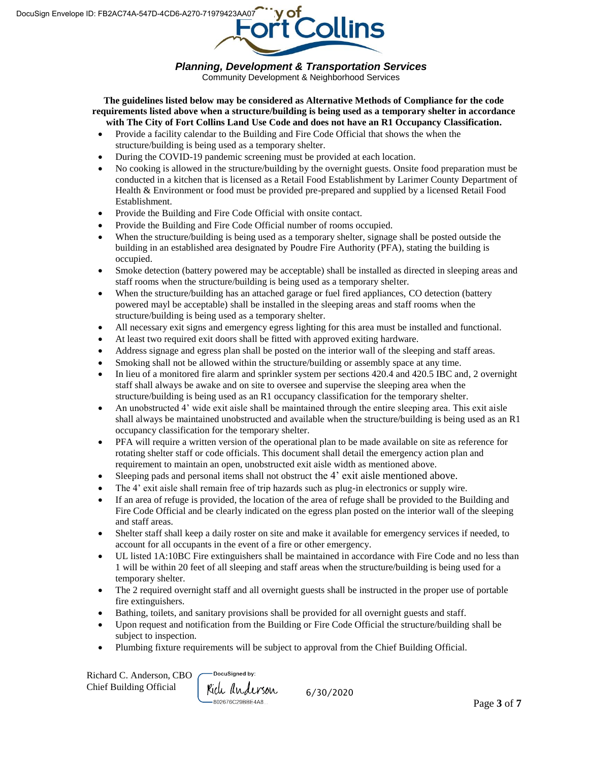

Community Development & Neighborhood Services

**The guidelines listed below may be considered as Alternative Methods of Compliance for the code requirements listed above when a structure/building is being used as a temporary shelter in accordance with The City of Fort Collins Land Use Code and does not have an R1 Occupancy Classification.**

- Provide a facility calendar to the Building and Fire Code Official that shows the when the structure/building is being used as a temporary shelter.
- During the COVID-19 pandemic screening must be provided at each location.
- No cooking is allowed in the structure/building by the overnight guests. Onsite food preparation must be conducted in a kitchen that is licensed as a Retail Food Establishment by Larimer County Department of Health & Environment or food must be provided pre-prepared and supplied by a licensed Retail Food Establishment.
- Provide the Building and Fire Code Official with onsite contact.
- Provide the Building and Fire Code Official number of rooms occupied.
- When the structure/building is being used as a temporary shelter, signage shall be posted outside the building in an established area designated by Poudre Fire Authority (PFA), stating the building is occupied.
- Smoke detection (battery powered may be acceptable) shall be installed as directed in sleeping areas and staff rooms when the structure/building is being used as a temporary shelter.
- When the structure/building has an attached garage or fuel fired appliances, CO detection (battery powered mayl be acceptable) shall be installed in the sleeping areas and staff rooms when the structure/building is being used as a temporary shelter.
- All necessary exit signs and emergency egress lighting for this area must be installed and functional.
- At least two required exit doors shall be fitted with approved exiting hardware.
- Address signage and egress plan shall be posted on the interior wall of the sleeping and staff areas.
- Smoking shall not be allowed within the structure/building or assembly space at any time.
- In lieu of a monitored fire alarm and sprinkler system per sections 420.4 and 420.5 IBC and, 2 overnight staff shall always be awake and on site to oversee and supervise the sleeping area when the structure/building is being used as an R1 occupancy classification for the temporary shelter.
- An unobstructed 4' wide exit aisle shall be maintained through the entire sleeping area. This exit aisle shall always be maintained unobstructed and available when the structure/building is being used as an R1 occupancy classification for the temporary shelter.
- PFA will require a written version of the operational plan to be made available on site as reference for rotating shelter staff or code officials. This document shall detail the emergency action plan and requirement to maintain an open, unobstructed exit aisle width as mentioned above.
- Sleeping pads and personal items shall not obstruct the 4' exit aisle mentioned above.
- The 4' exit aisle shall remain free of trip hazards such as plug-in electronics or supply wire.
- If an area of refuge is provided, the location of the area of refuge shall be provided to the Building and Fire Code Official and be clearly indicated on the egress plan posted on the interior wall of the sleeping and staff areas.
- Shelter staff shall keep a daily roster on site and make it available for emergency services if needed, to account for all occupants in the event of a fire or other emergency.
- UL listed 1A:10BC Fire extinguishers shall be maintained in accordance with Fire Code and no less than 1 will be within 20 feet of all sleeping and staff areas when the structure/building is being used for a temporary shelter.
- The 2 required overnight staff and all overnight guests shall be instructed in the proper use of portable fire extinguishers.
- Bathing, toilets, and sanitary provisions shall be provided for all overnight guests and staff.
- Upon request and notification from the Building or Fire Code Official the structure/building shall be subject to inspection.
- Plumbing fixture requirements will be subject to approval from the Chief Building Official.

| Richard C. Anderson, CBO $\overline{\phantom{C}}^{\text{D}}$ |     |
|--------------------------------------------------------------|-----|
| Chief Building Official                                      | Kic |

**OcuSianed by:** ch anderson  $-802676C29BBE4A8$ 

6/30/2020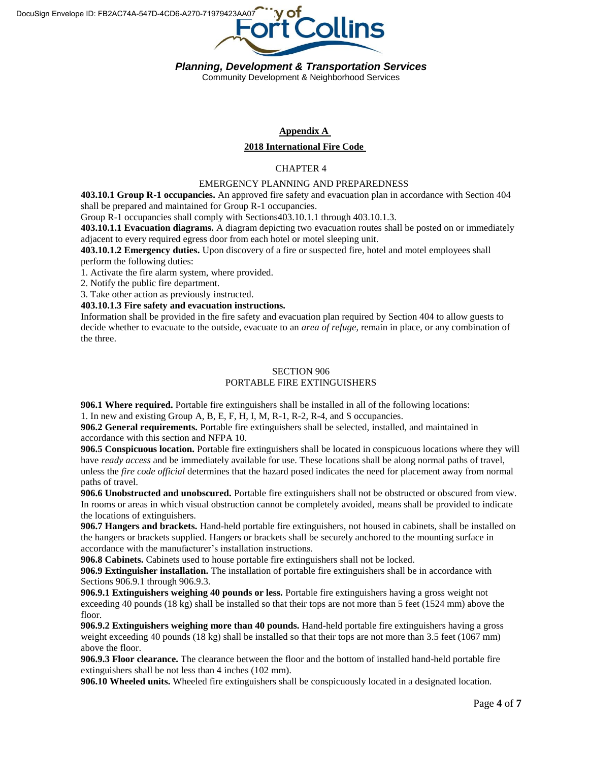

Community Development & Neighborhood Services

# **Appendix A**

## **2018 International Fire Code**

## CHAPTER 4

#### EMERGENCY PLANNING AND PREPAREDNESS

**403.10.1 Group R-1 occupancies.** An approved fire safety and evacuation plan in accordance with Section 404 shall be prepared and maintained for Group R-1 occupancies.

Group R-1 occupancies shall comply with Sections403.10.1.1 through 403.10.1.3.

**403.10.1.1 Evacuation diagrams.** A diagram depicting two evacuation routes shall be posted on or immediately adjacent to every required egress door from each hotel or motel sleeping unit.

**403.10.1.2 Emergency duties.** Upon discovery of a fire or suspected fire, hotel and motel employees shall perform the following duties:

1. Activate the fire alarm system, where provided.

2. Notify the public fire department.

3. Take other action as previously instructed.

**403.10.1.3 Fire safety and evacuation instructions.**

Information shall be provided in the fire safety and evacuation plan required by Section 404 to allow guests to decide whether to evacuate to the outside, evacuate to an *area of refuge,* remain in place, or any combination of the three.

#### SECTION 906 PORTABLE FIRE EXTINGUISHERS

**906.1 Where required.** Portable fire extinguishers shall be installed in all of the following locations:

1. In new and existing Group A, B, E, F, H, I, M, R-1, R-2, R-4, and S occupancies.

**906.2 General requirements.** Portable fire extinguishers shall be selected, installed, and maintained in accordance with this section and NFPA 10.

**906.5 Conspicuous location.** Portable fire extinguishers shall be located in conspicuous locations where they will have *ready access* and be immediately available for use. These locations shall be along normal paths of travel, unless the *fire code official* determines that the hazard posed indicates the need for placement away from normal paths of travel.

**906.6 Unobstructed and unobscured.** Portable fire extinguishers shall not be obstructed or obscured from view. In rooms or areas in which visual obstruction cannot be completely avoided, means shall be provided to indicate the locations of extinguishers.

**906.7 Hangers and brackets.** Hand-held portable fire extinguishers, not housed in cabinets, shall be installed on the hangers or brackets supplied. Hangers or brackets shall be securely anchored to the mounting surface in accordance with the manufacturer's installation instructions.

**906.8 Cabinets.** Cabinets used to house portable fire extinguishers shall not be locked.

**906.9 Extinguisher installation.** The installation of portable fire extinguishers shall be in accordance with Sections 906.9.1 through 906.9.3.

**906.9.1 Extinguishers weighing 40 pounds or less.** Portable fire extinguishers having a gross weight not exceeding 40 pounds (18 kg) shall be installed so that their tops are not more than 5 feet (1524 mm) above the floor.

**906.9.2 Extinguishers weighing more than 40 pounds.** Hand-held portable fire extinguishers having a gross weight exceeding 40 pounds (18 kg) shall be installed so that their tops are not more than 3.5 feet (1067 mm) above the floor.

**906.9.3 Floor clearance.** The clearance between the floor and the bottom of installed hand-held portable fire extinguishers shall be not less than 4 inches (102 mm).

**906.10 Wheeled units.** Wheeled fire extinguishers shall be conspicuously located in a designated location.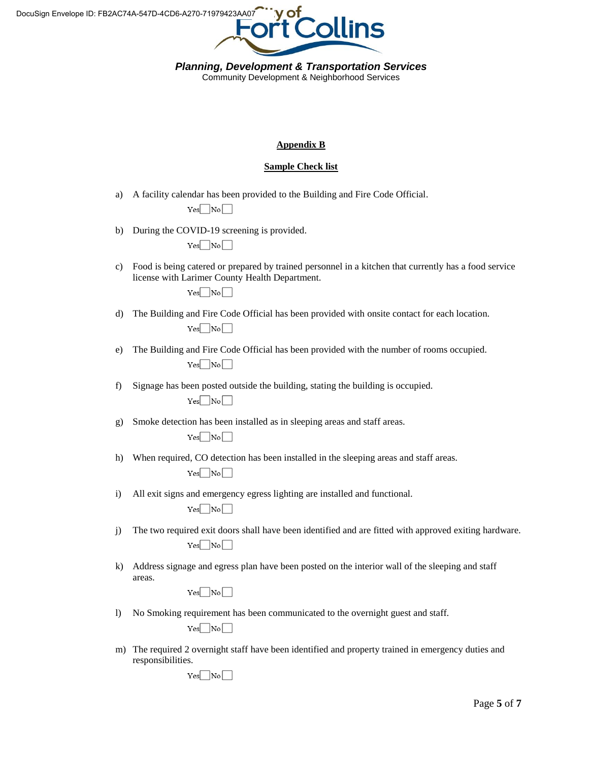

Community Development & Neighborhood Services

## **Appendix B**

## **Sample Check list**

a) A facility calendar has been provided to the Building and Fire Code Official.

 $Yes \Box No \Box$ 

b) During the COVID-19 screening is provided.

|--|--|--|--|--|

c) Food is being catered or prepared by trained personnel in a kitchen that currently has a food service license with Larimer County Health Department.

 $Yes \frown No \frown$ 

- d) The Building and Fire Code Official has been provided with onsite contact for each location.  $Yes \frown No \frown$
- e) The Building and Fire Code Official has been provided with the number of rooms occupied.  $Yes \Box No \Box$
- f) Signage has been posted outside the building, stating the building is occupied.  $Yes \frown No \frown$
- g) Smoke detection has been installed as in sleeping areas and staff areas.

 $Yes \Box No \Box$ 

- h) When required, CO detection has been installed in the sleeping areas and staff areas.  $Yes \Box No \Box$
- i) All exit signs and emergency egress lighting are installed and functional.  $Yes \Box No \Box$
- j) The two required exit doors shall have been identified and are fitted with approved exiting hardware.  $Yes \fbox{No}$
- k) Address signage and egress plan have been posted on the interior wall of the sleeping and staff areas.

 $Yes \frown No \frown$ 

l) No Smoking requirement has been communicated to the overnight guest and staff.

 $Yes \fbox{No}$ 

m) The required 2 overnight staff have been identified and property trained in emergency duties and responsibilities.

 $Yes \Box No \Box$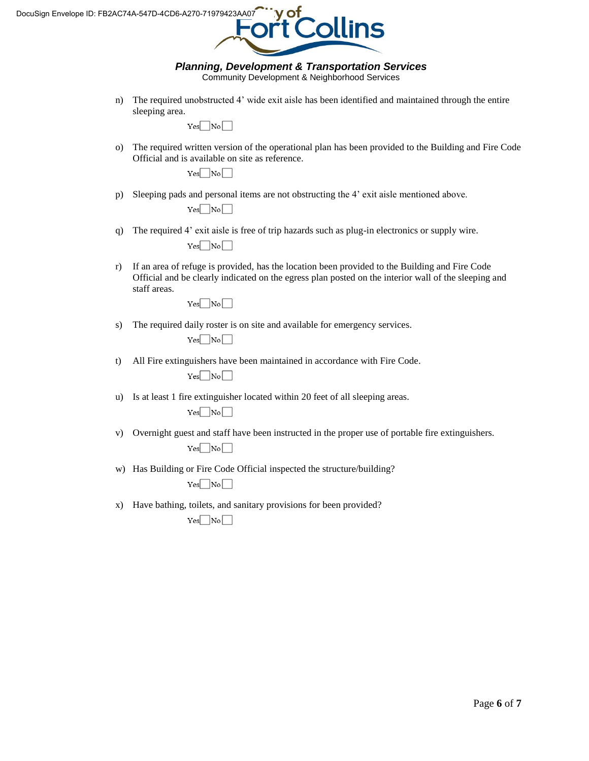

Community Development & Neighborhood Services

n) The required unobstructed 4' wide exit aisle has been identified and maintained through the entire sleeping area.

 $Yes \Box No \Box$ 

o) The required written version of the operational plan has been provided to the Building and Fire Code Official and is available on site as reference.

 $Yes \frown No \frown$ 

p) Sleeping pads and personal items are not obstructing the 4' exit aisle mentioned above.

 $Yes \frown No \frown$ 

q) The required 4' exit aisle is free of trip hazards such as plug-in electronics or supply wire.

 $Yes \frown No \frown$ 

r) If an area of refuge is provided, has the location been provided to the Building and Fire Code Official and be clearly indicated on the egress plan posted on the interior wall of the sleeping and staff areas.

 $Yes \Box No \Box$ 

s) The required daily roster is on site and available for emergency services.

 $Yes \Box No \Box$ 

t) All Fire extinguishers have been maintained in accordance with Fire Code.

 $Yes \frown No \frown$ 

u) Is at least 1 fire extinguisher located within 20 feet of all sleeping areas.

 $Yes \fbox{No}$ 

v) Overnight guest and staff have been instructed in the proper use of portable fire extinguishers.

 $Yes \frown No \frown$ 

w) Has Building or Fire Code Official inspected the structure/building?

 $Yes \frown No \frown$ 

x) Have bathing, toilets, and sanitary provisions for been provided?

 $Yes \frown No \frown$